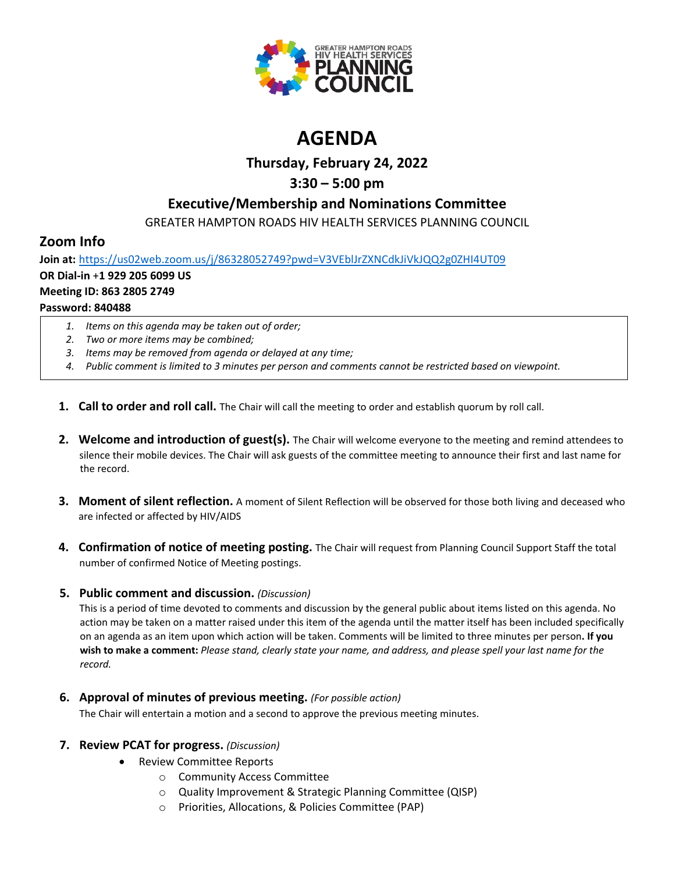

# **AGENDA**

# **Thursday, February 24, 2022**

# **3:30 – 5:00 pm**

### **Executive/Membership and Nominations Committee**

GREATER HAMPTON ROADS HIV HEALTH SERVICES PLANNING COUNCIL

### **Zoom Info**

**Join at:** <https://us02web.zoom.us/j/86328052749?pwd=V3VEblJrZXNCdkJiVkJQQ2g0ZHI4UT09> **OR Dial-in** +**1 929 205 6099 US Meeting ID: 863 2805 2749 Password: 840488**

- *1. Items on this agenda may be taken out of order;*
- *2. Two or more items may be combined;*
- *3. Items may be removed from agenda or delayed at any time;*
- *4. Public comment is limited to 3 minutes per person and comments cannot be restricted based on viewpoint.*
- **1. Call to order and roll call.** The Chair will call the meeting to order and establish quorum by roll call.
- **2. Welcome and introduction of guest(s).** The Chair will welcome everyone to the meeting and remind attendees to silence their mobile devices. The Chair will ask guests of the committee meeting to announce their first and last name for the record.
- **3. Moment of silent reflection.** A moment of Silent Reflection will be observed for those both living and deceased who are infected or affected by HIV/AIDS
- **4. Confirmation of notice of meeting posting.** The Chair will request from Planning Council Support Staff the total number of confirmed Notice of Meeting postings.

#### **5. Public comment and discussion.** *(Discussion)*

This is a period of time devoted to comments and discussion by the general public about items listed on this agenda. No action may be taken on a matter raised under this item of the agenda until the matter itself has been included specifically on an agenda as an item upon which action will be taken. Comments will be limited to three minutes per person**. If you wish to make a comment:** *Please stand, clearly state your name, and address, and please spell your last name for the record.*

**6. Approval of minutes of previous meeting.** *(For possible action)*

The Chair will entertain a motion and a second to approve the previous meeting minutes.

#### **7. Review PCAT for progress.** *(Discussion)*

- Review Committee Reports
	- o Community Access Committee
	- o Quality Improvement & Strategic Planning Committee (QISP)
	- o Priorities, Allocations, & Policies Committee (PAP)